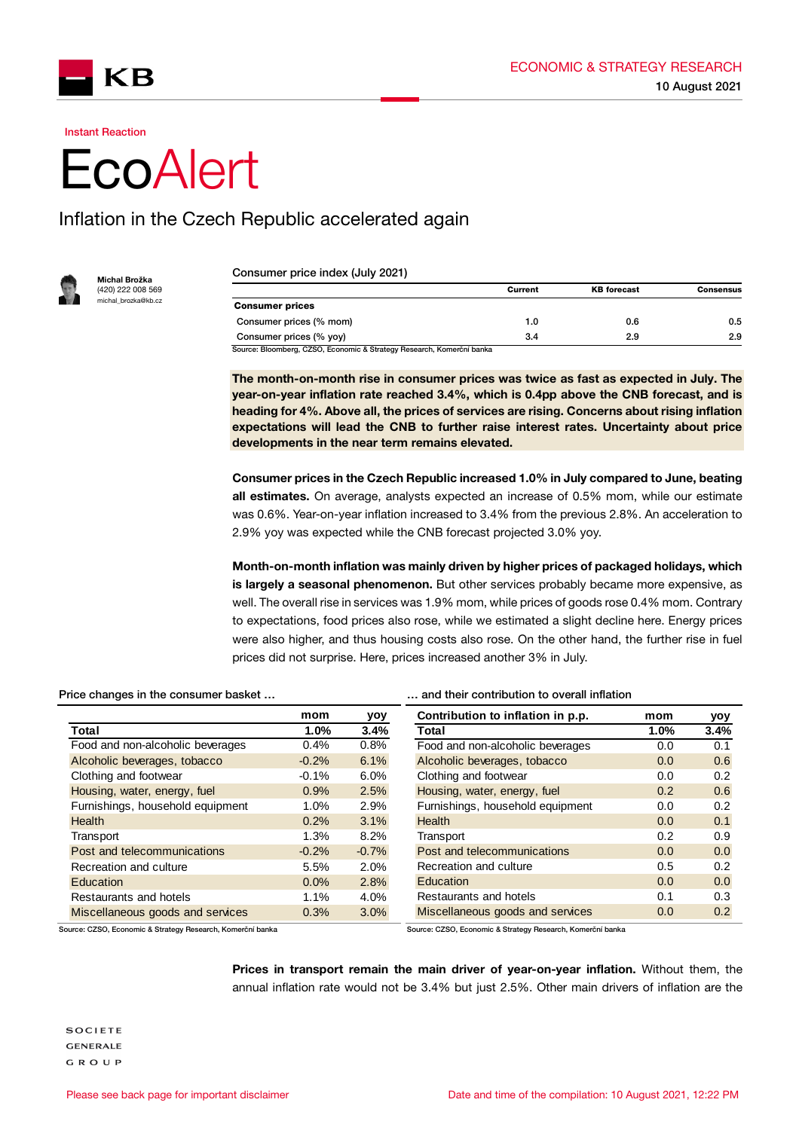

Instant Reaction

## **EcoAlert**

## Inflation in the Czech Republic accelerated again



Michal Brožka (420) 222 008 569 .<br>michal\_brozka@kb.cz

Consumer price index (July 2021)

| 0.6 | 0.5 |
|-----|-----|
| 2.9 | 2.9 |
|     |     |

The month-on-month rise in consumer prices was twice as fast as expected in July. The year-on-year inflation rate reached 3.4%, which is 0.4pp above the CNB forecast, and is heading for 4%. Above all, the prices of services are rising. Concerns about rising inflation expectations will lead the CNB to further raise interest rates. Uncertainty about price developments in the near term remains elevated.

Consumer prices in the Czech Republic increased 1.0% in July compared to June, beating all estimates. On average, analysts expected an increase of 0.5% mom, while our estimate was 0.6%. Year-on-year inflation increased to 3.4% from the previous 2.8%. An acceleration to 2.9% yoy was expected while the CNB forecast projected 3.0% yoy.

Month-on-month inflation was mainly driven by higher prices of packaged holidays, which is largely a seasonal phenomenon. But other services probably became more expensive, as well. The overall rise in services was 1.9% mom, while prices of goods rose 0.4% mom. Contrary to expectations, food prices also rose, while we estimated a slight decline here. Energy prices were also higher, and thus housing costs also rose. On the other hand, the further rise in fuel prices did not surprise. Here, prices increased another 3% in July.

## Price changes in the consumer basket ... **Exercise 20** metallies and their contribution to overall inflation

**mom yoy Total 1.0% 3.4%** Food and non-alcoholic beverages 0.4% 0.8% Alcoholic beverages, tobacco -0.2% 6.1% Clothing and footwear  $-0.1\%$  6.0% Housing, water, energy, fuel 0.9% 2.5% Furnishings, household equipment 1.0% 2.9% Health 0.2% 3.1% Transport 1.3% 8.2% Post and telecommunications -0.2% -0.7% Recreation and culture 6.5% 2.0% Education 0.0% 2.8% Restaurants and hotels 1.1% 4.0% Miscellaneous goods and services 0.3% 3.0% **Contribution to inflation in p.p. mom yoy Total 1.0% 3.4%** Food and non-alcoholic beverages 0.0 0.1 Alcoholic beverages, tobacco 0.0 0.6 Clothing and footwear 0.0 0.2 Housing, water, energy, fuel 0.2 0.6 Furnishings, household equipment 0.0 0.2 Health **Department Community** CO<sub>0</sub> 0.1 Transport 0.2 0.9 Post and telecommunications 0.0 0.0 0.0 Recreation and culture 0.5 0.2 Education 0.0 0.0 0.0 Restaurants and hotels 6.1 and  $0.3$ Miscellaneous goods and services 0.0 0.2

Source: CZSO, Economic & Strategy Research, Komerční banka Source: CZSO, Economic & Strategy Research, Komerční banka

Prices in transport remain the main driver of year-on-year inflation. Without them, the annual inflation rate would not be 3.4% but just 2.5%. Other main drivers of inflation are the

**SOCIETE GENERALE** GROUP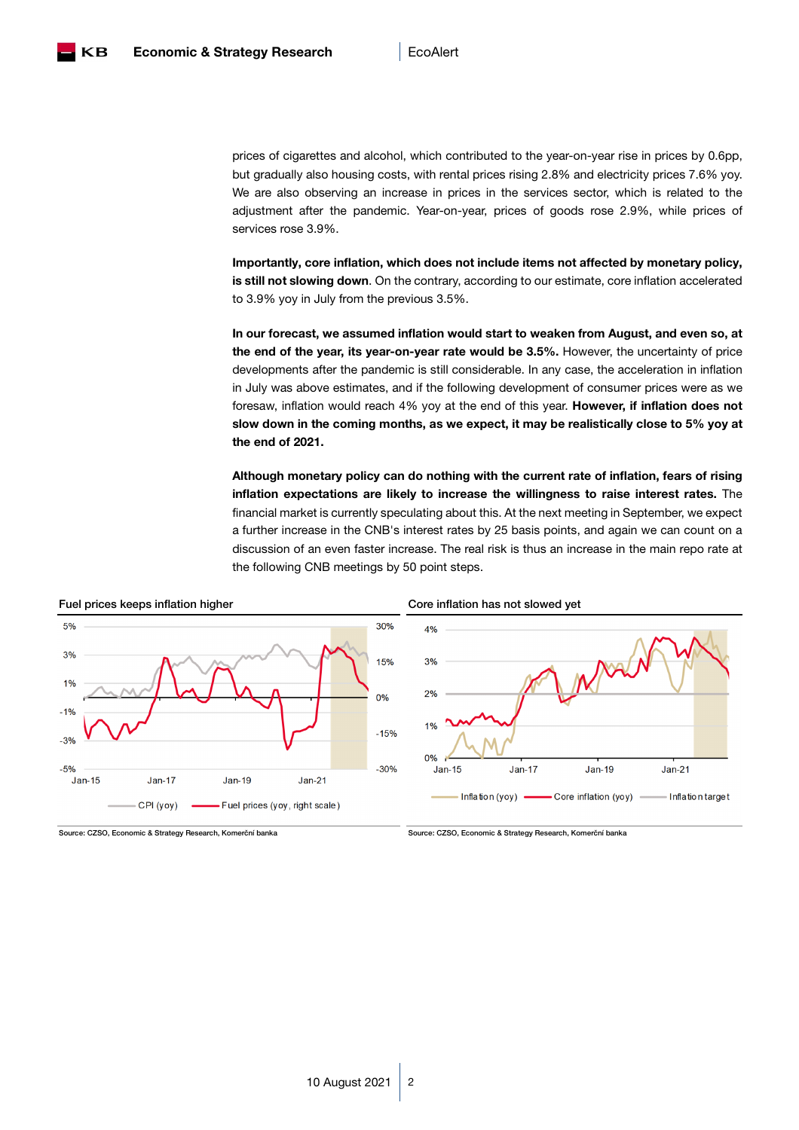

prices of cigarettes and alcohol, which contributed to the year-on-year rise in prices by 0.6pp, but gradually also housing costs, with rental prices rising 2.8% and electricity prices 7.6% yoy. We are also observing an increase in prices in the services sector, which is related to the adjustment after the pandemic. Year-on-year, prices of goods rose 2.9%, while prices of services rose 3.9%.

Importantly, core inflation, which does not include items not affected by monetary policy, is still not slowing down. On the contrary, according to our estimate, core inflation accelerated to 3.9% yoy in July from the previous 3.5%.

In our forecast, we assumed inflation would start to weaken from August, and even so, at the end of the year, its year-on-year rate would be 3.5%. However, the uncertainty of price developments after the pandemic is still considerable. In any case, the acceleration in inflation in July was above estimates, and if the following development of consumer prices were as we foresaw, inflation would reach 4% yoy at the end of this year. However, if inflation does not slow down in the coming months, as we expect, it may be realistically close to 5% yoy at the end of 2021.

Although monetary policy can do nothing with the current rate of inflation, fears of rising inflation expectations are likely to increase the willingness to raise interest rates. The financial market is currently speculating about this. At the next meeting in September, we expect a further increase in the CNB's interest rates by 25 basis points, and again we can count on a discussion of an even faster increase. The real risk is thus an increase in the main repo rate at the following CNB meetings by 50 point steps.

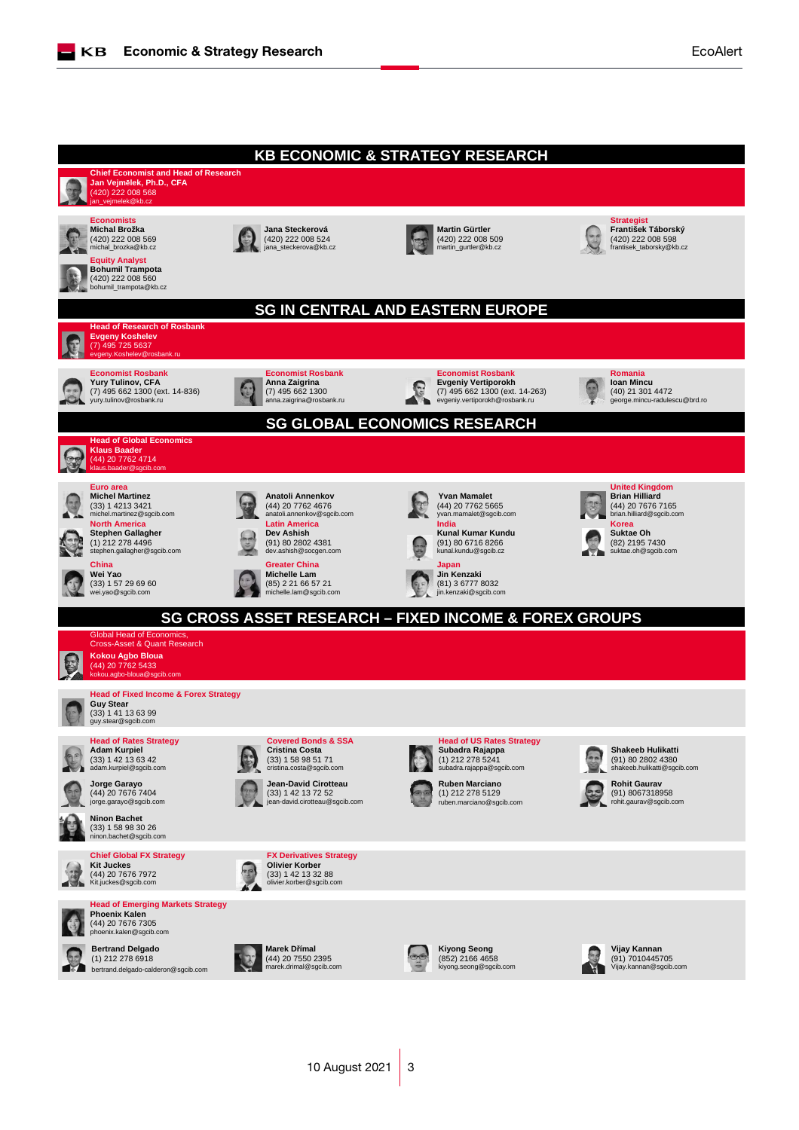